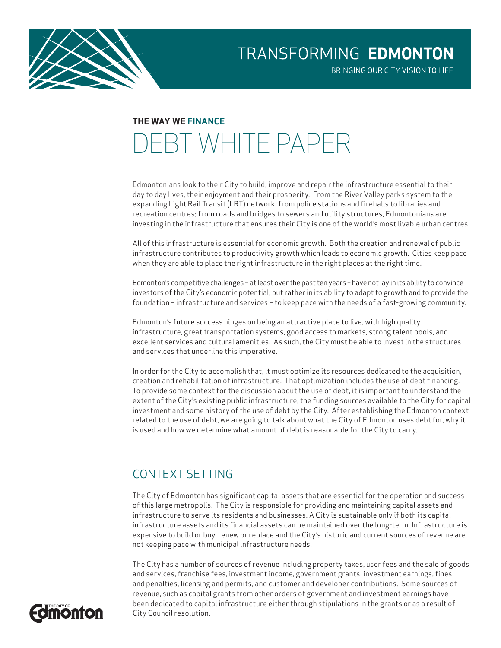

BRINGING OUR CITY VISION TO LIFE

# **THE WAY WE FINANCE** DEBT WHITE PAPER

Edmontonians look to their City to build, improve and repair the infrastructure essential to their day to day lives, their enjoyment and their prosperity. From the River Valley parks system to the expanding Light Rail Transit (LRT) network; from police stations and firehalls to libraries and recreation centres; from roads and bridges to sewers and utility structures, Edmontonians are investing in the infrastructure that ensures their City is one of the world's most livable urban centres.

All of this infrastructure is essential for economic growth. Both the creation and renewal of public infrastructure contributes to productivity growth which leads to economic growth. Cities keep pace when they are able to place the right infrastructure in the right places at the right time.

Edmonton's competitive challenges – at least over the past ten years – have not lay in its ability to convince investors of the City's economic potential, but rather in its ability to adapt to growth and to provide the foundation – infrastructure and services – to keep pace with the needs of a fast-growing community.

Edmonton's future success hinges on being an attractive place to live, with high quality infrastructure, great transportation systems, good access to markets, strong talent pools, and excellent services and cultural amenities. As such, the City must be able to invest in the structures and services that underline this imperative.

In order for the City to accomplish that, it must optimize its resources dedicated to the acquisition, creation and rehabilitation of infrastructure. That optimization includes the use of debt financing. To provide some context for the discussion about the use of debt, it is important to understand the extent of the City's existing public infrastructure, the funding sources available to the City for capital investment and some history of the use of debt by the City. After establishing the Edmonton context related to the use of debt, we are going to talk about what the City of Edmonton uses debt for, why it is used and how we determine what amount of debt is reasonable for the City to carry.

# CONTEXT SETTING

The City of Edmonton has significant capital assets that are essential for the operation and success of this large metropolis. The City is responsible for providing and maintaining capital assets and infrastructure to serve its residents and businesses. A City is sustainable only if both its capital infrastructure assets and its financial assets can be maintained over the long-term. Infrastructure is expensive to build or buy, renew or replace and the City's historic and current sources of revenue are not keeping pace with municipal infrastructure needs.

The City has a number of sources of revenue including property taxes, user fees and the sale of goods and services, franchise fees, investment income, government grants, investment earnings, fines and penalties, licensing and permits, and customer and developer contributions. Some sources of revenue, such as capital grants from other orders of government and investment earnings have been dedicated to capital infrastructure either through stipulations in the grants or as a result of City Council resolution.

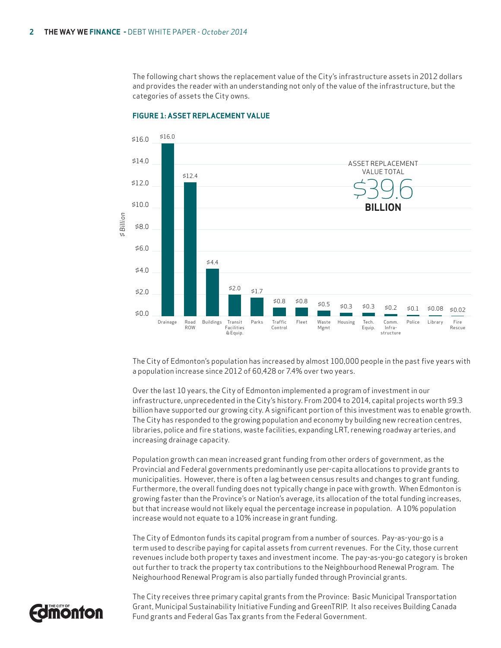The following chart shows the replacement value of the City's infrastructure assets in 2012 dollars and provides the reader with an understanding not only of the value of the infrastructure, but the categories of assets the City owns.



# **FIGURE 1: ASSET REPLACEMENT VALUE**

The City of Edmonton's population has increased by almost 100,000 people in the past five years with a population increase since 2012 of 60,428 or 7.4% over two years.

Over the last 10 years, the City of Edmonton implemented a program of investment in our infrastructure, unprecedented in the City's history. From 2004 to 2014, capital projects worth \$9.3 billion have supported our growing city. A significant portion of this investment was to enable growth. The City has responded to the growing population and economy by building new recreation centres, libraries, police and fire stations, waste facilities, expanding LRT, renewing roadway arteries, and increasing drainage capacity.

Population growth can mean increased grant funding from other orders of government, as the Provincial and Federal governments predominantly use per-capita allocations to provide grants to municipalities. However, there is often a lag between census results and changes to grant funding. Furthermore, the overall funding does not typically change in pace with growth. When Edmonton is growing faster than the Province's or Nation's average, its allocation of the total funding increases, but that increase would not likely equal the percentage increase in population. A 10% population increase would not equate to a 10% increase in grant funding.

The City of Edmonton funds its capital program from a number of sources. Pay-as-you-go is a term used to describe paying for capital assets from current revenues. For the City, those current revenues include both property taxes and investment income. The pay-as-you-go category is broken out further to track the property tax contributions to the Neighbourhood Renewal Program. The Neighourhood Renewal Program is also partially funded through Provincial grants.



The City receives three primary capital grants from the Province: Basic Municipal Transportation Grant, Municipal Sustainability Initiative Funding and GreenTRIP. It also receives Building Canada Fund grants and Federal Gas Tax grants from the Federal Government.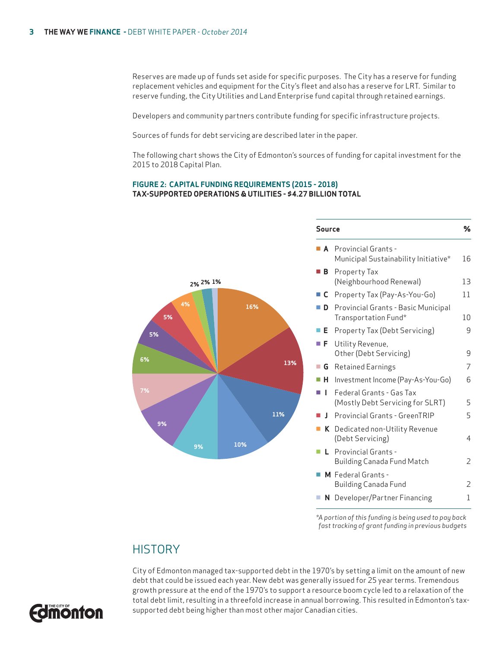Reserves are made up of funds set aside for specific purposes. The City has a reserve for funding replacement vehicles and equipment for the City's fleet and also has a reserve for LRT. Similar to reserve funding, the City Utilities and Land Enterprise fund capital through retained earnings.

Developers and community partners contribute funding for specific infrastructure projects.

Sources of funds for debt servicing are described later in the paper.

The following chart shows the City of Edmonton's sources of funding for capital investment for the 2015 to 2018 Capital Plan.

# **FIGURE 2: CAPITAL FUNDING REQUIREMENTS (2015 - 2018) TAX-SUPPORTED OPERATIONS & UTILITIES - \$4.27 BILLION TOTAL**



*\*A portion of this funding is being used to pay back fast tracking of grant funding in previous budgets*

# **HISTORY**

City of Edmonton managed tax-supported debt in the 1970's by setting a limit on the amount of new debt that could be issued each year. New debt was generally issued for 25 year terms. Tremendous growth pressure at the end of the 1970's to support a resource boom cycle led to a relaxation of the total debt limit, resulting in a threefold increase in annual borrowing. This resulted in Edmonton's taxsupported debt being higher than most other major Canadian cities.

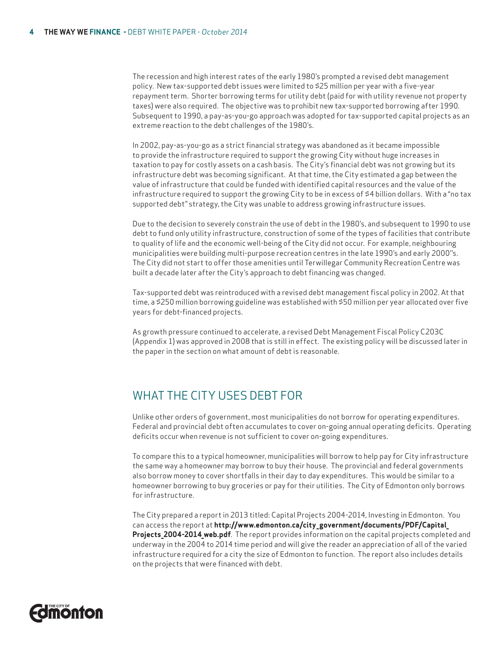The recession and high interest rates of the early 1980's prompted a revised debt management policy. New tax-supported debt issues were limited to \$25 million per year with a five-year repayment term. Shorter borrowing terms for utility debt (paid for with utility revenue not property taxes) were also required. The objective was to prohibit new tax-supported borrowing after 1990. Subsequent to 1990, a pay-as-you-go approach was adopted for tax-supported capital projects as an extreme reaction to the debt challenges of the 1980's.

In 2002, pay-as-you-go as a strict financial strategy was abandoned as it became impossible to provide the infrastructure required to support the growing City without huge increases in taxation to pay for costly assets on a cash basis. The City's financial debt was not growing but its infrastructure debt was becoming significant. At that time, the City estimated a gap between the value of infrastructure that could be funded with identified capital resources and the value of the infrastructure required to support the growing City to be in excess of \$4 billion dollars. With a "no tax supported debt" strategy, the City was unable to address growing infrastructure issues.

Due to the decision to severely constrain the use of debt in the 1980's, and subsequent to 1990 to use debt to fund only utility infrastructure, construction of some of the types of facilities that contribute to quality of life and the economic well-being of the City did not occur. For example, neighbouring municipalities were building multi-purpose recreation centres in the late 1990's and early 2000''s. The City did not start to offer those amenities until Terwillegar Community Recreation Centre was built a decade later after the City's approach to debt financing was changed.

Tax-supported debt was reintroduced with a revised debt management fiscal policy in 2002. At that time, a \$250 million borrowing guideline was established with \$50 million per year allocated over five years for debt-financed projects.

As growth pressure continued to accelerate, a revised Debt Management Fiscal Policy C203C (Appendix 1) was approved in 2008 that is still in effect. The existing policy will be discussed later in the paper in the section on what amount of debt is reasonable.

# WHAT THE CITY USES DEBT FOR

Unlike other orders of government, most municipalities do not borrow for operating expenditures. Federal and provincial debt often accumulates to cover on-going annual operating deficits. Operating deficits occur when revenue is not sufficient to cover on-going expenditures.

To compare this to a typical homeowner, municipalities will borrow to help pay for City infrastructure the same way a homeowner may borrow to buy their house. The provincial and federal governments also borrow money to cover shortfalls in their day to day expenditures. This would be similar to a homeowner borrowing to buy groceries or pay for their utilities. The City of Edmonton only borrows for infrastructure.

The City prepared a report in 2013 titled: Capital Projects 2004-2014, Investing in Edmonton. You can access the report at **http://www.edmonton.ca/city\_government/documents/PDF/Capital\_ Projects\_2004-2014\_web.pdf**. The report provides information on the capital projects completed and underway in the 2004 to 2014 time period and will give the reader an appreciation of all of the varied infrastructure required for a city the size of Edmonton to function. The report also includes details on the projects that were financed with debt.

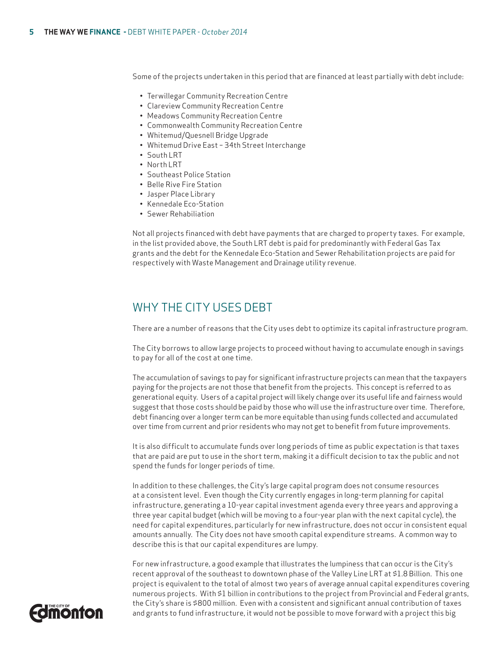Some of the projects undertaken in this period that are financed at least partially with debt include:

- Terwillegar Community Recreation Centre
- Clareview Community Recreation Centre
- Meadows Community Recreation Centre
- Commonwealth Community Recreation Centre
- Whitemud/Quesnell Bridge Upgrade
- Whitemud Drive East 34th Street Interchange
- South LRT
- North | RT
- Southeast Police Station
- Belle Rive Fire Station
- Jasper Place Library
- Kennedale Eco-Station
- Sewer Rehabiliation

Not all projects financed with debt have payments that are charged to property taxes. For example, in the list provided above, the South LRT debt is paid for predominantly with Federal Gas Tax grants and the debt for the Kennedale Eco-Station and Sewer Rehabilitation projects are paid for respectively with Waste Management and Drainage utility revenue.

# WHY THE CITY USES DEBT

There are a number of reasons that the City uses debt to optimize its capital infrastructure program.

The City borrows to allow large projects to proceed without having to accumulate enough in savings to pay for all of the cost at one time.

The accumulation of savings to pay for significant infrastructure projects can mean that the taxpayers paying for the projects are not those that benefit from the projects. This concept is referred to as generational equity. Users of a capital project will likely change over its useful life and fairness would suggest that those costs should be paid by those who will use the infrastructure over time. Therefore, debt financing over a longer term can be more equitable than using funds collected and accumulated over time from current and prior residents who may not get to benefit from future improvements.

It is also difficult to accumulate funds over long periods of time as public expectation is that taxes that are paid are put to use in the short term, making it a difficult decision to tax the public and not spend the funds for longer periods of time.

In addition to these challenges, the City's large capital program does not consume resources at a consistent level. Even though the City currently engages in long-term planning for capital infrastructure, generating a 10-year capital investment agenda every three years and approving a three year capital budget (which will be moving to a four-year plan with the next capital cycle), the need for capital expenditures, particularly for new infrastructure, does not occur in consistent equal amounts annually. The City does not have smooth capital expenditure streams. A common way to describe this is that our capital expenditures are lumpy.

For new infrastructure, a good example that illustrates the lumpiness that can occur is the City's recent approval of the southeast to downtown phase of the Valley Line LRT at \$1.8 Billion. This one project is equivalent to the total of almost two years of average annual capital expenditures covering numerous projects. With \$1 billion in contributions to the project from Provincial and Federal grants, the City's share is \$800 million. Even with a consistent and significant annual contribution of taxes and grants to fund infrastructure, it would not be possible to move forward with a project this big

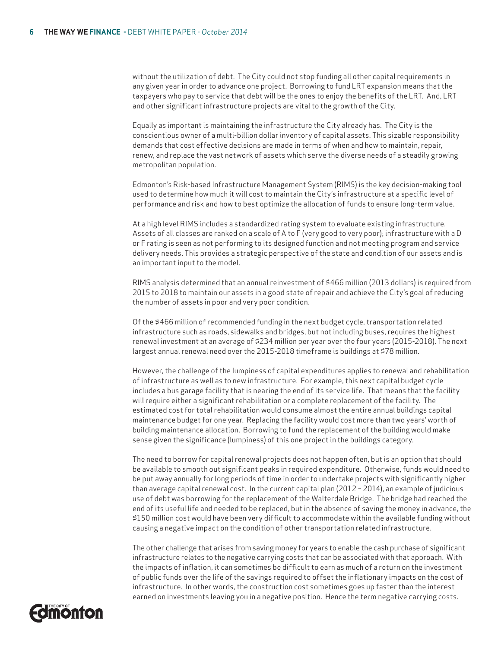without the utilization of debt. The City could not stop funding all other capital requirements in any given year in order to advance one project. Borrowing to fund LRT expansion means that the taxpayers who pay to service that debt will be the ones to enjoy the benefits of the LRT. And, LRT and other significant infrastructure projects are vital to the growth of the City.

Equally as important is maintaining the infrastructure the City already has. The City is the conscientious owner of a multi-billion dollar inventory of capital assets. This sizable responsibility demands that cost effective decisions are made in terms of when and how to maintain, repair, renew, and replace the vast network of assets which serve the diverse needs of a steadily growing metropolitan population.

Edmonton's Risk-based Infrastructure Management System (RIMS) is the key decision-making tool used to determine how much it will cost to maintain the City's infrastructure at a specific level of performance and risk and how to best optimize the allocation of funds to ensure long-term value.

At a high level RIMS includes a standardized rating system to evaluate existing infrastructure. Assets of all classes are ranked on a scale of A to F (very good to very poor); infrastructure with a D or F rating is seen as not performing to its designed function and not meeting program and service delivery needs. This provides a strategic perspective of the state and condition of our assets and is an important input to the model.

RIMS analysis determined that an annual reinvestment of \$466 million (2013 dollars) is required from 2015 to 2018 to maintain our assets in a good state of repair and achieve the City's goal of reducing the number of assets in poor and very poor condition.

Of the \$466 million of recommended funding in the next budget cycle, transportation related infrastructure such as roads, sidewalks and bridges, but not including buses, requires the highest renewal investment at an average of \$234 million per year over the four years (2015-2018). The next largest annual renewal need over the 2015-2018 timeframe is buildings at \$78 million.

However, the challenge of the lumpiness of capital expenditures applies to renewal and rehabilitation of infrastructure as well as to new infrastructure. For example, this next capital budget cycle includes a bus garage facility that is nearing the end of its service life. That means that the facility will require either a significant rehabilitation or a complete replacement of the facility. The estimated cost for total rehabilitation would consume almost the entire annual buildings capital maintenance budget for one year. Replacing the facility would cost more than two years' worth of building maintenance allocation. Borrowing to fund the replacement of the building would make sense given the significance (lumpiness) of this one project in the buildings category.

The need to borrow for capital renewal projects does not happen often, but is an option that should be available to smooth out significant peaks in required expenditure. Otherwise, funds would need to be put away annually for long periods of time in order to undertake projects with significantly higher than average capital renewal cost. In the current capital plan (2012 – 2014), an example of judicious use of debt was borrowing for the replacement of the Walterdale Bridge. The bridge had reached the end of its useful life and needed to be replaced, but in the absence of saving the money in advance, the \$150 million cost would have been very difficult to accommodate within the available funding without causing a negative impact on the condition of other transportation related infrastructure.

The other challenge that arises from saving money for years to enable the cash purchase of significant infrastructure relates to the negative carrying costs that can be associated with that approach. With the impacts of inflation, it can sometimes be difficult to earn as much of a return on the investment of public funds over the life of the savings required to offset the inflationary impacts on the cost of infrastructure. In other words, the construction cost sometimes goes up faster than the interest earned on investments leaving you in a negative position. Hence the term negative carrying costs.

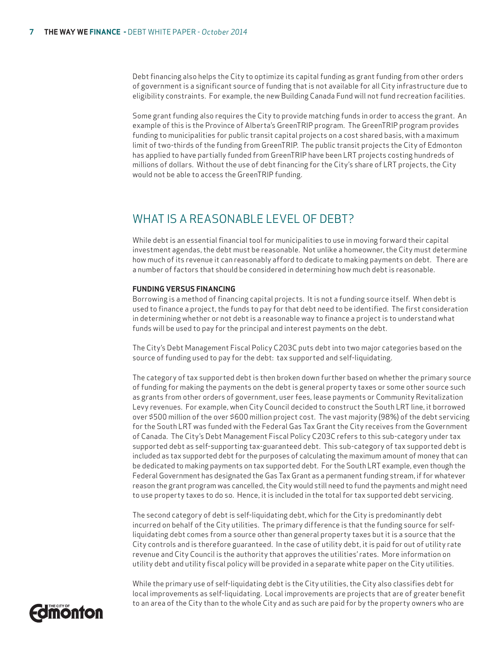Debt financing also helps the City to optimize its capital funding as grant funding from other orders of government is a significant source of funding that is not available for all City infrastructure due to eligibility constraints. For example, the new Building Canada Fund will not fund recreation facilities.

Some grant funding also requires the City to provide matching funds in order to access the grant. An example of this is the Province of Alberta's GreenTRIP program. The GreenTRIP program provides funding to municipalities for public transit capital projects on a cost shared basis, with a maximum limit of two-thirds of the funding from GreenTRIP. The public transit projects the City of Edmonton has applied to have partially funded from GreenTRIP have been LRT projects costing hundreds of millions of dollars. Without the use of debt financing for the City's share of LRT projects, the City would not be able to access the GreenTRIP funding.

# WHAT IS A REASONABLE LEVEL OF DEBT?

While debt is an essential financial tool for municipalities to use in moving forward their capital investment agendas, the debt must be reasonable. Not unlike a homeowner, the City must determine how much of its revenue it can reasonably afford to dedicate to making payments on debt. There are a number of factors that should be considered in determining how much debt is reasonable.

# **FUNDING VERSUS FINANCING**

Borrowing is a method of financing capital projects. It is not a funding source itself. When debt is used to finance a project, the funds to pay for that debt need to be identified. The first consideration in determining whether or not debt is a reasonable way to finance a project is to understand what funds will be used to pay for the principal and interest payments on the debt.

The City's Debt Management Fiscal Policy C203C puts debt into two major categories based on the source of funding used to pay for the debt: tax supported and self-liquidating.

The category of tax supported debt is then broken down further based on whether the primary source of funding for making the payments on the debt is general property taxes or some other source such as grants from other orders of government, user fees, lease payments or Community Revitalization Levy revenues. For example, when City Council decided to construct the South LRT line, it borrowed over \$500 million of the over \$600 million project cost. The vast majority (98%) of the debt servicing for the South LRT was funded with the Federal Gas Tax Grant the City receives from the Government of Canada. The City's Debt Management Fiscal Policy C203C refers to this sub-category under tax supported debt as self-supporting tax-guaranteed debt. This sub-category of tax supported debt is included as tax supported debt for the purposes of calculating the maximum amount of money that can be dedicated to making payments on tax supported debt. For the South LRT example, even though the Federal Government has designated the Gas Tax Grant as a permanent funding stream, if for whatever reason the grant program was cancelled, the City would still need to fund the payments and might need to use property taxes to do so. Hence, it is included in the total for tax supported debt servicing.

The second category of debt is self-liquidating debt, which for the City is predominantly debt incurred on behalf of the City utilities. The primary difference is that the funding source for selfliquidating debt comes from a source other than general property taxes but it is a source that the City controls and is therefore guaranteed. In the case of utility debt, it is paid for out of utility rate revenue and City Council is the authority that approves the utilities' rates. More information on utility debt and utility fiscal policy will be provided in a separate white paper on the City utilities.

While the primary use of self-liquidating debt is the City utilities, the City also classifies debt for local improvements as self-liquidating. Local improvements are projects that are of greater benefit to an area of the City than to the whole City and as such are paid for by the property owners who are

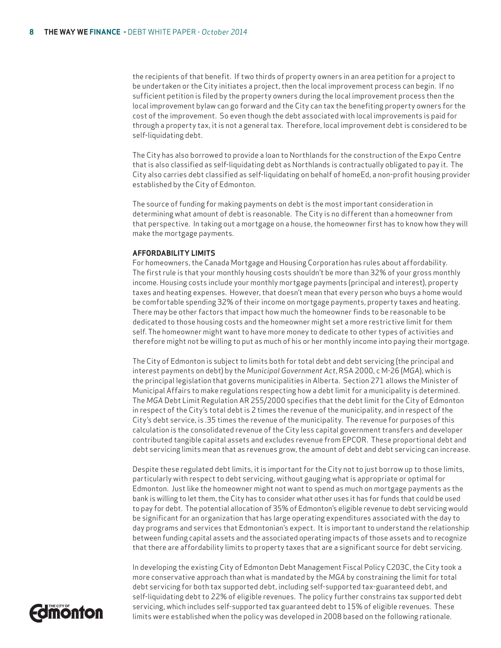the recipients of that benefit. If two thirds of property owners in an area petition for a project to be undertaken or the City initiates a project, then the local improvement process can begin. If no sufficient petition is filed by the property owners during the local improvement process then the local improvement bylaw can go forward and the City can tax the benefiting property owners for the cost of the improvement. So even though the debt associated with local improvements is paid for through a property tax, it is not a general tax. Therefore, local improvement debt is considered to be self-liquidating debt.

The City has also borrowed to provide a loan to Northlands for the construction of the Expo Centre that is also classified as self-liquidating debt as Northlands is contractually obligated to pay it. The City also carries debt classified as self-liquidating on behalf of homeEd, a non-profit housing provider established by the City of Edmonton.

The source of funding for making payments on debt is the most important consideration in determining what amount of debt is reasonable. The City is no different than a homeowner from that perspective. In taking out a mortgage on a house, the homeowner first has to know how they will make the mortgage payments.

#### **AFFORDABILITY LIMITS**

For homeowners, the Canada Mortgage and Housing Corporation has rules about affordability. The first rule is that your monthly housing costs shouldn't be more than 32% of your gross monthly income. Housing costs include your monthly mortgage payments (principal and interest), property taxes and heating expenses. However, that doesn't mean that every person who buys a home would be comfortable spending 32% of their income on mortgage payments, property taxes and heating. There may be other factors that impact how much the homeowner finds to be reasonable to be dedicated to those housing costs and the homeowner might set a more restrictive limit for them self. The homeowner might want to have more money to dedicate to other types of activities and therefore might not be willing to put as much of his or her monthly income into paying their mortgage.

The City of Edmonton is subject to limits both for total debt and debt servicing (the principal and interest payments on debt) by the *Municipal Government Act*, RSA 2000, c M-26 (*MGA*), which is the principal legislation that governs municipalities in Alberta. Section 271 allows the Minister of Municipal Affairs to make regulations respecting how a debt limit for a municipality is determined. The *MGA* Debt Limit Regulation AR 255/2000 specifies that the debt limit for the City of Edmonton in respect of the City's total debt is 2 times the revenue of the municipality, and in respect of the City's debt service, is .35 times the revenue of the municipality. The revenue for purposes of this calculation is the consolidated revenue of the City less capital government transfers and developer contributed tangible capital assets and excludes revenue from EPCOR. These proportional debt and debt servicing limits mean that as revenues grow, the amount of debt and debt servicing can increase.

Despite these regulated debt limits, it is important for the City not to just borrow up to those limits, particularly with respect to debt servicing, without gauging what is appropriate or optimal for Edmonton. Just like the homeowner might not want to spend as much on mortgage payments as the bank is willing to let them, the City has to consider what other uses it has for funds that could be used to pay for debt. The potential allocation of 35% of Edmonton's eligible revenue to debt servicing would be significant for an organization that has large operating expenditures associated with the day to day programs and services that Edmontonian's expect. It is important to understand the relationship between funding capital assets and the associated operating impacts of those assets and to recognize that there are affordability limits to property taxes that are a significant source for debt servicing.

In developing the existing City of Edmonton Debt Management Fiscal Policy C203C, the City took a more conservative approach than what is mandated by the *MGA* by constraining the limit for total debt servicing for both tax supported debt, including self-supported tax-guaranteed debt, and self-liquidating debt to 22% of eligible revenues. The policy further constrains tax supported debt servicing, which includes self-supported tax guaranteed debt to 15% of eligible revenues. These limits were established when the policy was developed in 2008 based on the following rationale.

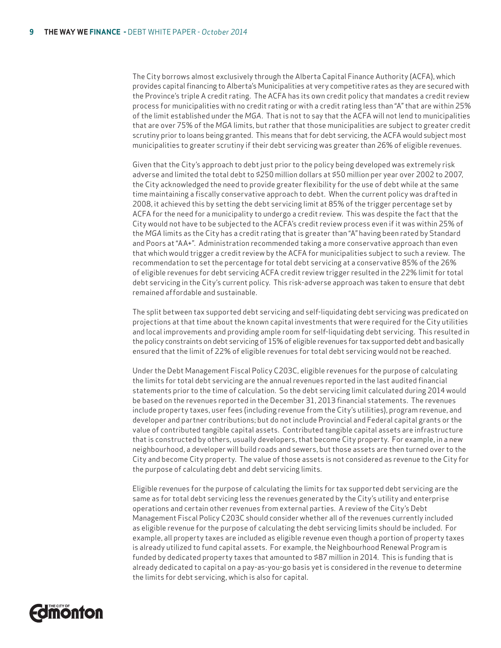The City borrows almost exclusively through the Alberta Capital Finance Authority (ACFA), which provides capital financing to Alberta's Municipalities at very competitive rates as they are secured with the Province's triple A credit rating. The ACFA has its own credit policy that mandates a credit review process for municipalities with no credit rating or with a credit rating less than "A" that are within 25% of the limit established under the *MGA*. That is not to say that the ACFA will not lend to municipalities that are over 75% of the *MGA* limits, but rather that those municipalities are subject to greater credit scrutiny prior to loans being granted. This means that for debt servicing, the ACFA would subject most municipalities to greater scrutiny if their debt servicing was greater than 26% of eligible revenues.

Given that the City's approach to debt just prior to the policy being developed was extremely risk adverse and limited the total debt to \$250 million dollars at \$50 million per year over 2002 to 2007, the City acknowledged the need to provide greater flexibility for the use of debt while at the same time maintaining a fiscally conservative approach to debt. When the current policy was drafted in 2008, it achieved this by setting the debt servicing limit at 85% of the trigger percentage set by ACFA for the need for a municipality to undergo a credit review. This was despite the fact that the City would not have to be subjected to the ACFA's credit review process even if it was within 25% of the *MGA* limits as the City has a credit rating that is greater than "A" having been rated by Standard and Poors at "AA+". Administration recommended taking a more conservative approach than even that which would trigger a credit review by the ACFA for municipalities subject to such a review. The recommendation to set the percentage for total debt servicing at a conservative 85% of the 26% of eligible revenues for debt servicing ACFA credit review trigger resulted in the 22% limit for total debt servicing in the City's current policy. This risk-adverse approach was taken to ensure that debt remained affordable and sustainable.

The split between tax supported debt servicing and self-liquidating debt servicing was predicated on projections at that time about the known capital investments that were required for the City utilities and local improvements and providing ample room for self-liquidating debt servicing. This resulted in the policy constraints on debt servicing of 15% of eligible revenues for tax supported debt and basically ensured that the limit of 22% of eligible revenues for total debt servicing would not be reached.

Under the Debt Management Fiscal Policy C203C, eligible revenues for the purpose of calculating the limits for total debt servicing are the annual revenues reported in the last audited financial statements prior to the time of calculation. So the debt servicing limit calculated during 2014 would be based on the revenues reported in the December 31, 2013 financial statements. The revenues include property taxes, user fees (including revenue from the City's utilities), program revenue, and developer and partner contributions; but do not include Provincial and Federal capital grants or the value of contributed tangible capital assets. Contributed tangible capital assets are infrastructure that is constructed by others, usually developers, that become City property. For example, in a new neighbourhood, a developer will build roads and sewers, but those assets are then turned over to the City and become City property. The value of those assets is not considered as revenue to the City for the purpose of calculating debt and debt servicing limits.

Eligible revenues for the purpose of calculating the limits for tax supported debt servicing are the same as for total debt servicing less the revenues generated by the City's utility and enterprise operations and certain other revenues from external parties. A review of the City's Debt Management Fiscal Policy C203C should consider whether all of the revenues currently included as eligible revenue for the purpose of calculating the debt servicing limits should be included. For example, all property taxes are included as eligible revenue even though a portion of property taxes is already utilized to fund capital assets. For example, the Neighbourhood Renewal Program is funded by dedicated property taxes that amounted to \$87 million in 2014. This is funding that is already dedicated to capital on a pay-as-you-go basis yet is considered in the revenue to determine the limits for debt servicing, which is also for capital.

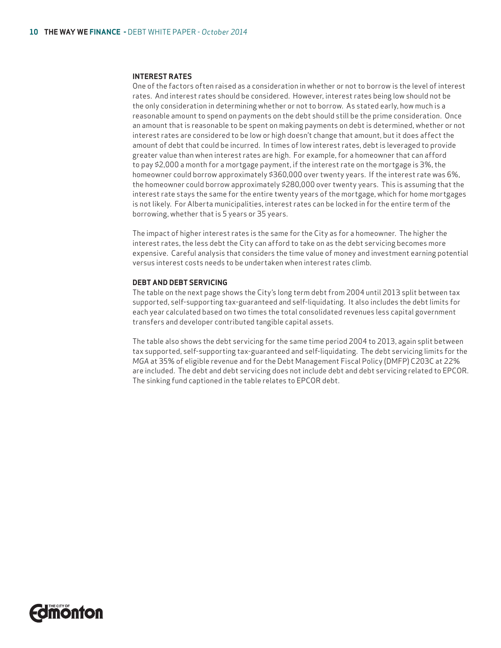# **INTEREST RATES**

One of the factors often raised as a consideration in whether or not to borrow is the level of interest rates. And interest rates should be considered. However, interest rates being low should not be the only consideration in determining whether or not to borrow. As stated early, how much is a reasonable amount to spend on payments on the debt should still be the prime consideration. Once an amount that is reasonable to be spent on making payments on debt is determined, whether or not interest rates are considered to be low or high doesn't change that amount, but it does affect the amount of debt that could be incurred. In times of low interest rates, debt is leveraged to provide greater value than when interest rates are high. For example, for a homeowner that can afford to pay \$2,000 a month for a mortgage payment, if the interest rate on the mortgage is 3%, the homeowner could borrow approximately \$360,000 over twenty years. If the interest rate was 6%, the homeowner could borrow approximately \$280,000 over twenty years. This is assuming that the interest rate stays the same for the entire twenty years of the mortgage, which for home mortgages is not likely. For Alberta municipalities, interest rates can be locked in for the entire term of the borrowing, whether that is 5 years or 35 years.

The impact of higher interest rates is the same for the City as for a homeowner. The higher the interest rates, the less debt the City can afford to take on as the debt servicing becomes more expensive. Careful analysis that considers the time value of money and investment earning potential versus interest costs needs to be undertaken when interest rates climb.

# **DEBT AND DEBT SERVICING**

The table on the next page shows the City's long term debt from 2004 until 2013 split between tax supported, self-supporting tax-guaranteed and self-liquidating. It also includes the debt limits for each year calculated based on two times the total consolidated revenues less capital government transfers and developer contributed tangible capital assets.

The table also shows the debt servicing for the same time period 2004 to 2013, again split between tax supported, self-supporting tax-guaranteed and self-liquidating. The debt servicing limits for the *MGA* at 35% of eligible revenue and for the Debt Management Fiscal Policy (DMFP) C203C at 22% are included. The debt and debt servicing does not include debt and debt servicing related to EPCOR. The sinking fund captioned in the table relates to EPCOR debt.

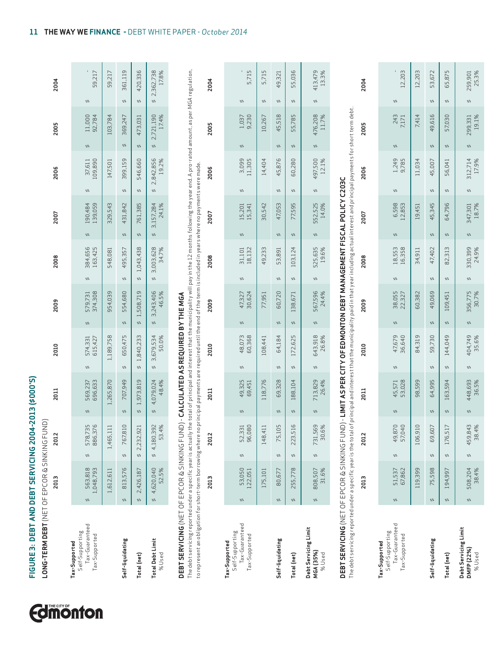| ב אמת הבתח ל לפטטיכ<br>י<br>2<br>2<br>2 |                                   |
|-----------------------------------------|-----------------------------------|
|                                         |                                   |
| į                                       |                                   |
| r                                       | נ<br>ר                            |
| )<br>)<br>)                             | <b>UNITER</b><br>$\mathcal{L}$    |
|                                         | $\frac{1}{2}$                     |
|                                         |                                   |
|                                         |                                   |
|                                         |                                   |
|                                         |                                   |
|                                         |                                   |
|                                         |                                   |
|                                         | <b>1 DEBT</b> (NET OF EPCOR & SIN |
|                                         |                                   |
| URE 3: DEBT AND DEBT SERVICING          | G-TERI                            |
|                                         |                                   |
| ū                                       |                                   |

LONG-TERM DEBT (NET OF EPCOR & SINKING FUND)

**Edimonton** 

|                                                                     | 2013                                 | 2<br>ដ                   | 2011                         | 2010                 | 2009                         | 2008                | 2007                                                                                                         | 2006                 | 2005                 | 2004                |
|---------------------------------------------------------------------|--------------------------------------|--------------------------|------------------------------|----------------------|------------------------------|---------------------|--------------------------------------------------------------------------------------------------------------|----------------------|----------------------|---------------------|
| Self-Supporting<br>Tax-Guaranteed<br>Tax-Supported<br>Tax-Supported | 563,818<br>1,048,793                 | 578,735<br>5,376<br>886, | 569,237<br>696,633<br>n<br>U | 574,331<br>615,427   | 579,731<br>374,308<br>n<br>V | 384,656<br>163,425  | 190,484<br>.39,059                                                                                           | 37,611<br>109,890    | 11,000<br>92,784     | 59,217              |
|                                                                     | 1,612,611                            | 1,465,111                | 1,265,870                    | 1,189,758            | 954,039                      | 548,081             | 329,543                                                                                                      | 147,501              | 103,784              | 59,217              |
| Self-liquidating                                                    |                                      |                          |                              |                      |                              |                     | \$ 813,576 \$ 767,810 \$ 707,949 \$ 650,475 \$ 594,680 \$ 495,357 \$ 431.842 \$ 399,159 \$ 369,247           |                      |                      | \$ 361,119          |
| Total (net)                                                         |                                      |                          |                              |                      |                              |                     | \$ 2,426,187 \$ 2,232,921 \$ 1,840,233 \$ 1,508,719 \$ 1,043,438 \$ 761,385 \$ 546,660 \$ 473,031 \$ 420.336 |                      |                      |                     |
| <b>Total Debt Limit</b><br>%Used                                    | $5 4,620,040$ $5 4,180,392$<br>52.5% | 53.4%                    | 54,079,024<br>48.4%          | 5 3,679,534<br>50.0% | $5$ 3, 243, 406<br>46.5%     | 53,003,628<br>34.7% | 5 3,157,284<br>24.1%                                                                                         | 5 2,842,856<br>19.2% | 5 2,721,190<br>17.4% | 52,362,738<br>17.8% |

# DEBT SERVICING (NET OF EPCOR & SINKING FUND) - CALCULATED AS REQUIRED BY THE MGA **DEBT SERVICING** (NET OF EPCOR & SINKING FUND) - **CALCULATED AS REQUIRED BY THE** *MGA*

The debt servicing reported under aspecific year is actually the total of principal and interest that the municipality will pay in the 12 months following the year end. A pro-rated amount, as per MGA regulation, The debt servicing reported under a specific year is actually the total of principal and interest that the municipality will pay in the 12 months following the year end. A pro-rated amount, as per *MGA* regulation, to represent an obligation for short-term borrowing where no principal payments are required uniti the end of the term is included in years where no payments were made. to represent an obligation for short-term borrowing where no principal payments are required until the end of the term is included in years where no payments were made.

2009

2010

2011

2012

2013

2008

2004

2005

2006

2007

| 5,715                                                               | 5,715    | 49,321                                              | 55,036                                              | 413,479<br>13.3%                            |
|---------------------------------------------------------------------|----------|-----------------------------------------------------|-----------------------------------------------------|---------------------------------------------|
| v                                                                   | $\omega$ | $\omega$                                            | $\frac{1}{2}$                                       | w<br>w                                      |
| 1,037<br>9,230                                                      | 10,267   | 45,518                                              | 55,785                                              | 476,208<br>11.7%                            |
|                                                                     |          | w<br>w                                              |                                                     |                                             |
| 3,099<br>11,305                                                     | 14,404   | 45,876                                              | 60,280 \$                                           | $\frac{497,500}{12.1\%}$                    |
| U,                                                                  |          | $\omega$                                            | $\omega$                                            |                                             |
| 15,201<br>15,341                                                    | 30,542   | 47,053                                              | 77,595                                              | 552,525<br>14.0%                            |
|                                                                     |          | $\frac{1}{2}$                                       |                                                     | n,                                          |
| 31,101<br>18,132                                                    | 49,233   | 53,891                                              |                                                     | \$ 525,635<br>19.6%                         |
| U)                                                                  |          | $\begin{array}{c}\n\bullet \\ \bullet\n\end{array}$ |                                                     |                                             |
| 47,327<br>30,624                                                    | 77,951   | 60,720                                              |                                                     | 567,596<br>24.4%                            |
|                                                                     |          | $\frac{1}{2}$                                       |                                                     | $\frac{1}{2}$                               |
| 48,073<br>60,368                                                    | 108,441  | 64,184                                              |                                                     | $5 643,918$<br>$26.8\%$                     |
| w                                                                   |          | w<br>w                                              |                                                     |                                             |
| 49,325<br>69,451                                                    | 118,776  | 69,328                                              | $5$ 188,104 $5$ 172,625 $5$ 138,671 $5$ 103,124 $5$ | 713,829<br>26.4%                            |
| U)                                                                  |          | $\frac{6}{5}$                                       |                                                     | n,                                          |
| 52,331<br>96,080                                                    | 148,411  | 05                                                  |                                                     |                                             |
|                                                                     |          |                                                     |                                                     |                                             |
| 53,050<br>122,051                                                   | 175,101  | $580,677$ $5$ , 75,1                                | $5255,778$ $523,516$                                | $5$ 808,507 $5$ 731,569<br>31.6% 30.6%      |
|                                                                     |          |                                                     |                                                     |                                             |
| Self-Supporting<br>Tax-Guaranteed<br>Tax-Supported<br>Tax-Supported |          | Self-liquidating                                    | Total (net)                                         | Debt Servicing Limit<br>MGA (35%)<br>% Used |

# DEBT SERVICING (NET OF EPCOR & SINKING FUND) - LIMIT AS PER CITY OF EDMONTON DEBT MANAGEMENT FISCAL POLICY C203C **DEBT SERVICING** (NET OF EPCOR & SINKING FUND) - **LIMIT AS PER CITY OF EDMONTON DEBT MANAGEMENT FISCAL POLICY C203C**

The debt servicing reported under a specific year is the total of principal interest that the municipality paid in that year including actual interest and principal payments for short term debt The debt servicing reported under a specific year is the total of principal and interest that the municipality paid in that year including actual interest and principal payments for short term debt.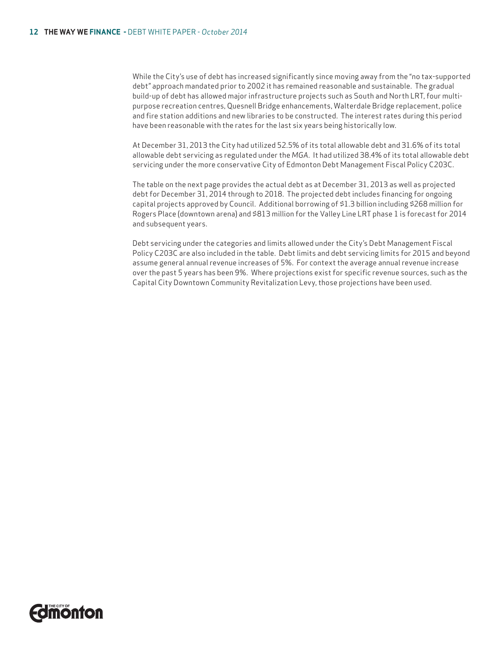While the City's use of debt has increased significantly since moving away from the "no tax-supported debt" approach mandated prior to 2002 it has remained reasonable and sustainable. The gradual build-up of debt has allowed major infrastructure projects such as South and North LRT, four multipurpose recreation centres, Quesnell Bridge enhancements, Walterdale Bridge replacement, police and fire station additions and new libraries to be constructed. The interest rates during this period have been reasonable with the rates for the last six years being historically low.

At December 31, 2013 the City had utilized 52.5% of its total allowable debt and 31.6% of its total allowable debt servicing as regulated under the *MGA*. It had utilized 38.4% of its total allowable debt servicing under the more conservative City of Edmonton Debt Management Fiscal Policy C203C.

The table on the next page provides the actual debt as at December 31, 2013 as well as projected debt for December 31, 2014 through to 2018. The projected debt includes financing for ongoing capital projects approved by Council. Additional borrowing of \$1.3 billion including \$268 million for Rogers Place (downtown arena) and \$813 million for the Valley Line LRT phase 1 is forecast for 2014 and subsequent years.

Debt servicing under the categories and limits allowed under the City's Debt Management Fiscal Policy C203C are also included in the table. Debt limits and debt servicing limits for 2015 and beyond assume general annual revenue increases of 5%. For context the average annual revenue increase over the past 5 years has been 9%. Where projections exist for specific revenue sources, such as the Capital City Downtown Community Revitalization Levy, those projections have been used.

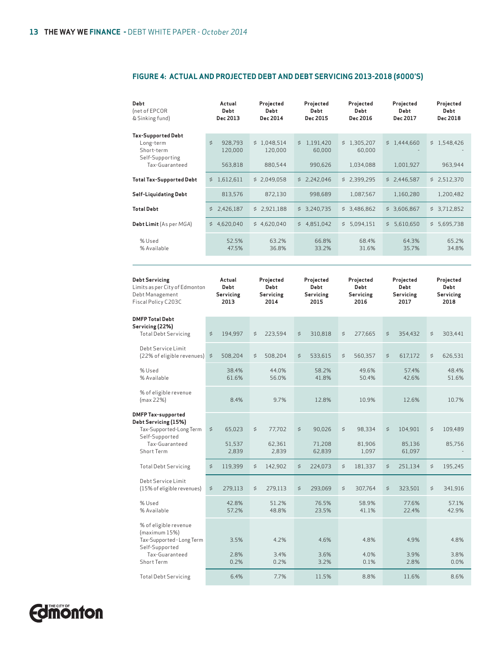| Debt<br>(net of EPCOR<br>& Sinking fund) | Actual<br>Debt<br>Dec 2013 | Projected<br><b>Debt</b><br>Dec 2014 | Projected<br>Debt<br>Dec 2015         | Projected<br>Debt<br>Dec 2016 | Projected<br>Debt<br>Dec 2017 | Projected<br>Debt<br>Dec 2018 |
|------------------------------------------|----------------------------|--------------------------------------|---------------------------------------|-------------------------------|-------------------------------|-------------------------------|
| <b>Tax-Supported Debt</b>                | \$                         |                                      |                                       |                               |                               |                               |
| Long-term<br>Short-term                  | 928,793<br>120,000         | \$1.048.514<br>120,000               | 1.191.420<br>$\mathfrak{s}$<br>60,000 | \$1.305.207<br>60,000         | \$1.444.660                   | \$1.548.426                   |
| Self-Supporting                          |                            |                                      |                                       |                               |                               |                               |
| Tax-Guaranteed                           | 563,818                    | 880,544                              | 990,626                               | 1,034,088                     | 1,001,927                     | 963,944                       |
| <b>Total Tax-Supported Debt</b>          | \$1,612,611                | \$2.049.058                          | \$2.242.046                           | \$2,399,295                   | \$2,446,587                   | \$2,512,370                   |
| <b>Self-Liquidating Debt</b>             | 813,576                    | 872.130                              | 998.689                               | 1,087,567                     | 1,160,280                     | 1,200,482                     |
| <b>Total Debt</b>                        | 2,426,187<br>\$            | 2,921,188<br>$\mathfrak{s}$          | 3,240,735<br>Ś.                       | \$3,486,862                   | \$3,606,867                   | 3,712,852<br>\$               |
| <b>Debt Limit</b> (As per MGA)           | 4.620.040<br>$\leq$        | \$4.620.040                          | 4.851.042<br>\$                       | 5.094.151<br>\$               | 5.610.650<br>\$               | 5.695.738<br>\$               |
| % Used<br>% Available                    | 52.5%<br>47.5%             | 63.2%<br>36.8%                       | 66.8%<br>33.2%                        | 68.4%<br>31.6%                | 64.3%<br>35.7%                | 65.2%<br>34.8%                |

# **FIGURE 4: ACTUAL AND PROJECTED DEBT AND DEBT SERVICING 2013-2018 (\$000'S)**

| <b>Debt Servicing</b><br>Limits as per City of Edmonton<br>Debt Management<br>Fiscal Policy C203C                              |                               | Actual<br>Debt<br>Servicing<br>2013 |             | Projected<br>Debt<br>Servicing<br>2014 |          | Projected<br>Debt<br>Servicing<br>2015 | Projected<br>Debt<br>Servicing<br>2016 |          | Projected<br>Debt<br>Servicing<br>2017 |             | Projected<br>Debt<br>Servicing<br>2018 |
|--------------------------------------------------------------------------------------------------------------------------------|-------------------------------|-------------------------------------|-------------|----------------------------------------|----------|----------------------------------------|----------------------------------------|----------|----------------------------------------|-------------|----------------------------------------|
| <b>DMFP Total Debt</b><br>Servicing (22%)<br><b>Total Debt Servicing</b>                                                       | \$                            | 194,997                             | $\varsigma$ | 223,594                                | $\sharp$ | 310,818                                | \$<br>277,665                          | \$       | 354,432                                | \$          | 303,441                                |
| Debt Service Limit<br>(22% of eligible revenues)                                                                               | $\varsigma$                   | 508,204                             | \$          | 508.204                                | \$       | 533,615                                | \$<br>560,357                          | \$       | 617,172                                | $\sharp$    | 626,531                                |
| % Used<br>% Available                                                                                                          |                               | 38.4%<br>61.6%                      |             | 44.0%<br>56.0%                         |          | 58.2%<br>41.8%                         | 49.6%<br>50.4%                         |          | 57.4%<br>42.6%                         |             | 48.4%<br>51.6%                         |
| % of eligible revenue<br>(max 22%)                                                                                             |                               | 8.4%                                |             | 9.7%                                   |          | 12.8%                                  | 10.9%                                  |          | 12.6%                                  |             | 10.7%                                  |
| <b>DMFP Tax-supported</b><br>Debt Servicing (15%)<br>Tax-Supported-Long Term<br>Self-Supported<br>Tax-Guaranteed<br>Short Term | $\operatorname{\mathfrak{S}}$ | 65,023<br>51,537<br>2,839           | $\varsigma$ | 77,702<br>62,361<br>2,839              | $\sharp$ | 90,026<br>71,208<br>62,839             | \$<br>98,334<br>81,906<br>1,097        | $\sharp$ | 104,901<br>85,136<br>61,097            | \$          | 109,489<br>85,756                      |
| <b>Total Debt Servicing</b>                                                                                                    | \$                            | 119,399                             | $\varsigma$ | 142,902                                | \$       | 224,073                                | \$<br>181,337                          | $\sharp$ | 251,134                                | $\varsigma$ | 195,245                                |
| Debt Service Limit<br>(15% of eligible revenues)                                                                               | \$                            | 279,113                             | \$          | 279,113                                | \$       | 293,069                                | \$<br>307,764                          | \$       | 323,501                                | \$          | 341,916                                |
| % Used<br>% Available                                                                                                          |                               | 42.8%<br>57.2%                      |             | 51.2%<br>48.8%                         |          | 76.5%<br>23.5%                         | 58.9%<br>41.1%                         |          | 77.6%<br>22.4%                         |             | 57.1%<br>42.9%                         |
| % of eligible revenue<br>(maximum 15%)<br>Tax-Supported - Long Term<br>Self-Supported<br>Tax-Guaranteed<br>Short Term          |                               | 3.5%<br>2.8%<br>0.2%                |             | 4.2%<br>3.4%<br>0.2%                   |          | 4.6%<br>3.6%<br>3.2%                   | 4.8%<br>4.0%<br>0.1%                   |          | 4.9%<br>3.9%<br>2.8%                   |             | 4.8%<br>3.8%<br>0.0%                   |
| <b>Total Debt Servicing</b>                                                                                                    |                               | 6.4%                                |             | 7.7%                                   |          | 11.5%                                  | 8.8%                                   |          | 11.6%                                  |             | 8.6%                                   |

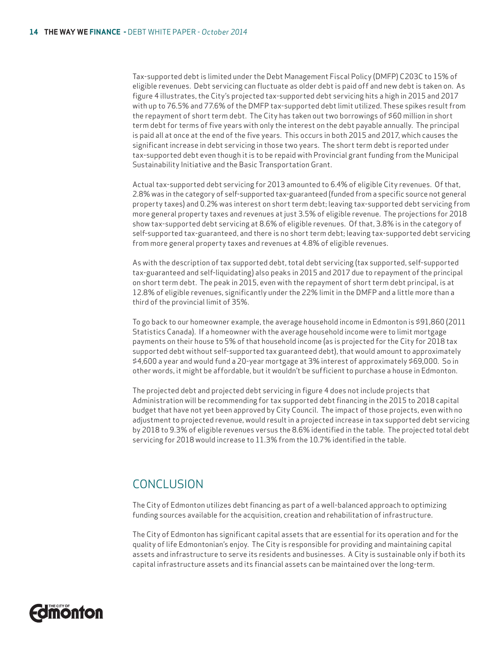Tax-supported debt is limited under the Debt Management Fiscal Policy (DMFP) C203C to 15% of eligible revenues. Debt servicing can fluctuate as older debt is paid off and new debt is taken on. As figure 4 illustrates, the City's projected tax-supported debt servicing hits a high in 2015 and 2017 with up to 76.5% and 77.6% of the DMFP tax-supported debt limit utilized. These spikes result from the repayment of short term debt. The City has taken out two borrowings of \$60 million in short term debt for terms of five years with only the interest on the debt payable annually. The principal is paid all at once at the end of the five years. This occurs in both 2015 and 2017, which causes the significant increase in debt servicing in those two years. The short term debt is reported under tax-supported debt even though it is to be repaid with Provincial grant funding from the Municipal Sustainability Initiative and the Basic Transportation Grant.

Actual tax-supported debt servicing for 2013 amounted to 6.4% of eligible City revenues. Of that, 2.8% was in the category of self-supported tax-guaranteed (funded from a specific source not general property taxes) and 0.2% was interest on short term debt; leaving tax-supported debt servicing from more general property taxes and revenues at just 3.5% of eligible revenue. The projections for 2018 show tax-supported debt servicing at 8.6% of eligible revenues. Of that, 3.8% is in the category of self-supported tax-guaranteed, and there is no short term debt; leaving tax-supported debt servicing from more general property taxes and revenues at 4.8% of eligible revenues.

As with the description of tax supported debt, total debt servicing (tax supported, self-supported tax-guaranteed and self-liquidating) also peaks in 2015 and 2017 due to repayment of the principal on short term debt. The peak in 2015, even with the repayment of short term debt principal, is at 12.8% of eligible revenues, significantly under the 22% limit in the DMFP and a little more than a third of the provincial limit of 35%.

To go back to our homeowner example, the average household income in Edmonton is \$91,860 (2011 Statistics Canada). If a homeowner with the average household income were to limit mortgage payments on their house to 5% of that household income (as is projected for the City for 2018 tax supported debt without self-supported tax guaranteed debt), that would amount to approximately \$4,600 a year and would fund a 20-year mortgage at 3% interest of approximately \$69,000. So in other words, it might be affordable, but it wouldn't be sufficient to purchase a house in Edmonton.

The projected debt and projected debt servicing in figure 4 does not include projects that Administration will be recommending for tax supported debt financing in the 2015 to 2018 capital budget that have not yet been approved by City Council. The impact of those projects, even with no adjustment to projected revenue, would result in a projected increase in tax supported debt servicing by 2018 to 9.3% of eligible revenues versus the 8.6% identified in the table. The projected total debt servicing for 2018 would increase to 11.3% from the 10.7% identified in the table.

# **CONCLUSION**

The City of Edmonton utilizes debt financing as part of a well-balanced approach to optimizing funding sources available for the acquisition, creation and rehabilitation of infrastructure.

The City of Edmonton has significant capital assets that are essential for its operation and for the quality of life Edmontonian's enjoy. The City is responsible for providing and maintaining capital assets and infrastructure to serve its residents and businesses. A City is sustainable only if both its capital infrastructure assets and its financial assets can be maintained over the long-term.

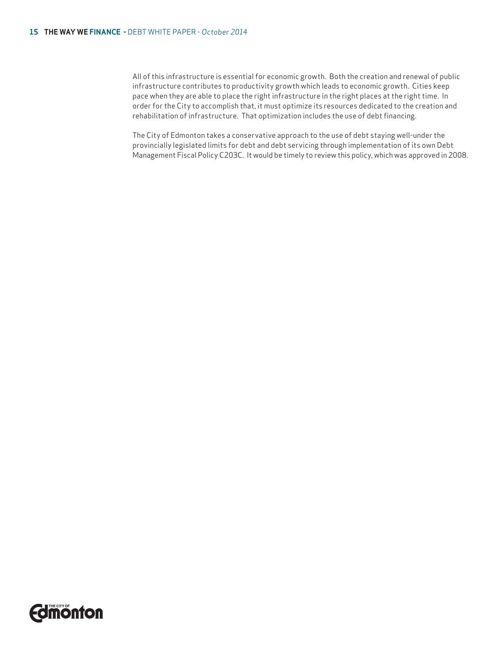All of this infrastructure is essential for economic growth. Both the creation and renewal of public infrastructure contributes to productivity growth which leads to economic growth. Cities keep pace when they are able to place the right infrastructure in the right places at the right time. In order for the City to accomplish that, it must optimize its resources dedicated to the creation and rehabilitation of infrastructure. That optimization includes the use of debt financing.

The City of Edmonton takes a conservative approach to the use of debt staying well-under the provincially legislated limits for debt and debt servicing through implementation of its own Debt Management Fiscal Policy C203C. It would be timely to review this policy, which was approved in 2008.

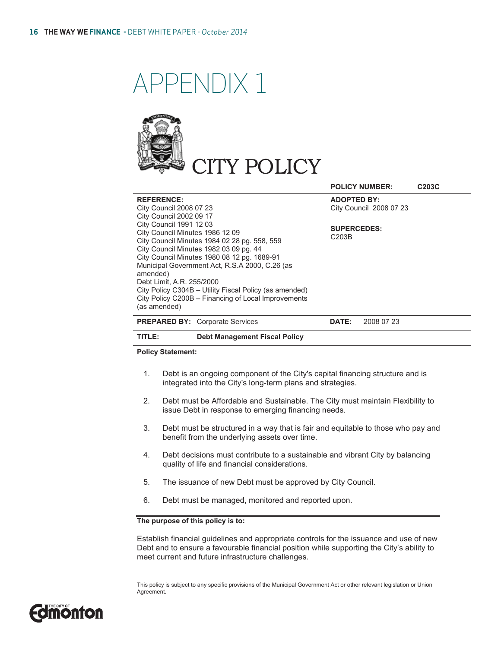



|                                                                                                                                                                                                                                                                                                                                                                                                                        | <b>POLICY NUMBER:</b>                    | C203C |
|------------------------------------------------------------------------------------------------------------------------------------------------------------------------------------------------------------------------------------------------------------------------------------------------------------------------------------------------------------------------------------------------------------------------|------------------------------------------|-------|
| <b>REFERENCE:</b>                                                                                                                                                                                                                                                                                                                                                                                                      | <b>ADOPTED BY:</b>                       |       |
| <b>City Council 2008 07 23</b>                                                                                                                                                                                                                                                                                                                                                                                         | City Council 2008 07 23                  |       |
| <b>City Council 2002 09 17</b>                                                                                                                                                                                                                                                                                                                                                                                         |                                          |       |
| <b>City Council 1991 12 03</b><br>City Council Minutes 1986 12 09<br>City Council Minutes 1984 02 28 pg. 558, 559<br>City Council Minutes 1982 03 09 pg. 44<br>City Council Minutes 1980 08 12 pg. 1689-91<br>Municipal Government Act, R.S.A 2000, C.26 (as<br>amended)<br>Debt Limit, A.R. 255/2000<br>City Policy C304B – Utility Fiscal Policy (as amended)<br>City Policy C200B – Financing of Local Improvements | <b>SUPERCEDES:</b><br>C <sub>203</sub> B |       |
| (as amended)<br><b>PREPARED BY: Corporate Services</b>                                                                                                                                                                                                                                                                                                                                                                 | DATE:<br>2008 07 23                      |       |

#### **TITLE: Debt Management Fiscal Policy**

**Policy Statement:** 

- 1. Debt is an ongoing component of the City's capital financing structure and is integrated into the City's long-term plans and strategies.
- 2. Debt must be Affordable and Sustainable. The City must maintain Flexibility to issue Debt in response to emerging financing needs.
- 3. Debt must be structured in a way that is fair and equitable to those who pay and benefit from the underlying assets over time.
- 4. Debt decisions must contribute to a sustainable and vibrant City by balancing quality of life and financial considerations.
- 5. The issuance of new Debt must be approved by City Council.
- 6. Debt must be managed, monitored and reported upon.

**The purpose of this policy is to:** 

Establish financial guidelines and appropriate controls for the issuance and use of new Debt and to ensure a favourable financial position while supporting the City's ability to meet current and future infrastructure challenges.

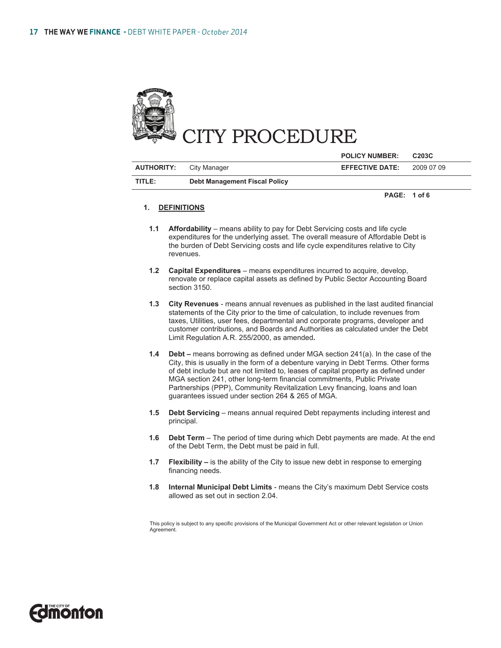

|                   |                                      | <b>POLICY NUMBER:</b>  | C <sub>203</sub> C |
|-------------------|--------------------------------------|------------------------|--------------------|
| <b>AUTHORITY:</b> | City Manager                         | <b>EFFECTIVE DATE:</b> | 2009 07 09         |
| TITLE:            | <b>Debt Management Fiscal Policy</b> |                        |                    |
|                   |                                      | PAGE: 1 of 6           |                    |

**1. DEFINITIONS**

- **1.1 Affordability** means ability to pay for Debt Servicing costs and life cycle expenditures for the underlying asset. The overall measure of Affordable Debt is the burden of Debt Servicing costs and life cycle expenditures relative to City revenues.
- **1.2 Capital Expenditures**  means expenditures incurred to acquire, develop, renovate or replace capital assets as defined by Public Sector Accounting Board section 3150.
- **1.3 City Revenues**  means annual revenues as published in the last audited financial statements of the City prior to the time of calculation, to include revenues from taxes, Utilities, user fees, departmental and corporate programs, developer and customer contributions, and Boards and Authorities as calculated under the Debt Limit Regulation A.R. 255/2000, as amended**.**
- **1.4 Debt** means borrowing as defined under MGA section 241(a). In the case of the City, this is usually in the form of a debenture varying in Debt Terms. Other forms of debt include but are not limited to, leases of capital property as defined under MGA section 241, other long-term financial commitments, Public Private Partnerships (PPP), Community Revitalization Levy financing, loans and loan guarantees issued under section 264 & 265 of MGA.
- **1.5 Debt Servicing** means annual required Debt repayments including interest and principal.
- **1.6 Debt Term**  The period of time during which Debt payments are made. At the end of the Debt Term, the Debt must be paid in full.
- **1.7 Flexibility** is the ability of the City to issue new debt in response to emerging financing needs.
- **1.8 Internal Municipal Debt Limits**  means the City's maximum Debt Service costs allowed as set out in section 2.04.

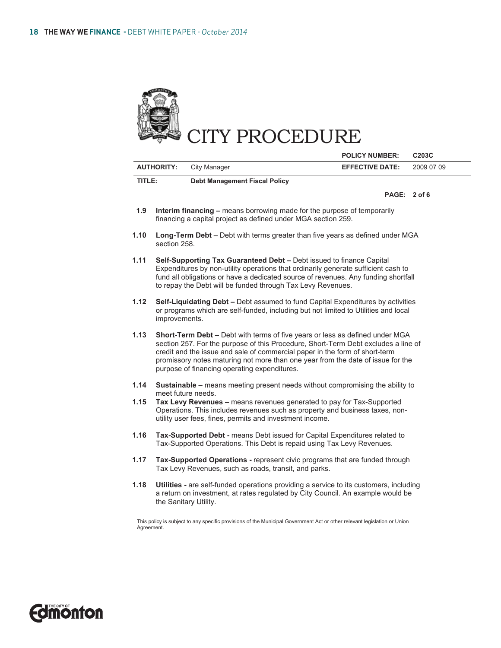

|              |                   |                                                                                | <b>POLICY NUMBER:</b>                                                                                                                                                                                                                                                                                                                | C203C      |
|--------------|-------------------|--------------------------------------------------------------------------------|--------------------------------------------------------------------------------------------------------------------------------------------------------------------------------------------------------------------------------------------------------------------------------------------------------------------------------------|------------|
|              | <b>AUTHORITY:</b> | City Manager                                                                   | <b>EFFECTIVE DATE:</b>                                                                                                                                                                                                                                                                                                               | 2009 07 09 |
| TITLE:       |                   | <b>Debt Management Fiscal Policy</b>                                           |                                                                                                                                                                                                                                                                                                                                      |            |
|              |                   |                                                                                | PAGE: 2 of 6                                                                                                                                                                                                                                                                                                                         |            |
| 1.9          |                   | financing a capital project as defined under MGA section 259.                  | Interim financing – means borrowing made for the purpose of temporarily                                                                                                                                                                                                                                                              |            |
| 1.10         | section 258.      |                                                                                | Long-Term Debt - Debt with terms greater than five years as defined under MGA                                                                                                                                                                                                                                                        |            |
| 1.11         |                   | to repay the Debt will be funded through Tax Levy Revenues.                    | Self-Supporting Tax Guaranteed Debt - Debt issued to finance Capital<br>Expenditures by non-utility operations that ordinarily generate sufficient cash to<br>fund all obligations or have a dedicated source of revenues. Any funding shortfall                                                                                     |            |
| 1.12         | improvements.     |                                                                                | Self-Liquidating Debt - Debt assumed to fund Capital Expenditures by activities<br>or programs which are self-funded, including but not limited to Utilities and local                                                                                                                                                               |            |
| 1.13         |                   | purpose of financing operating expenditures.                                   | Short-Term Debt - Debt with terms of five years or less as defined under MGA<br>section 257. For the purpose of this Procedure, Short-Term Debt excludes a line of<br>credit and the issue and sale of commercial paper in the form of short-term<br>promissory notes maturing not more than one year from the date of issue for the |            |
| 1.14<br>1.15 |                   | meet future needs.<br>utility user fees, fines, permits and investment income. | <b>Sustainable –</b> means meeting present needs without compromising the ability to<br>Tax Levy Revenues - means revenues generated to pay for Tax-Supported<br>Operations. This includes revenues such as property and business taxes, non-                                                                                        |            |
| 1.16         |                   |                                                                                | Tax-Supported Debt - means Debt issued for Capital Expenditures related to<br>Tax-Supported Operations. This Debt is repaid using Tax Levy Revenues.                                                                                                                                                                                 |            |

- **1.17 Tax-Supported Operations** represent civic programs that are funded through Tax Levy Revenues, such as roads, transit, and parks.
- **1.18 Utilities are self-funded operations providing a service to its customers, including** a return on investment, at rates regulated by City Council. An example would be the Sanitary Utility.

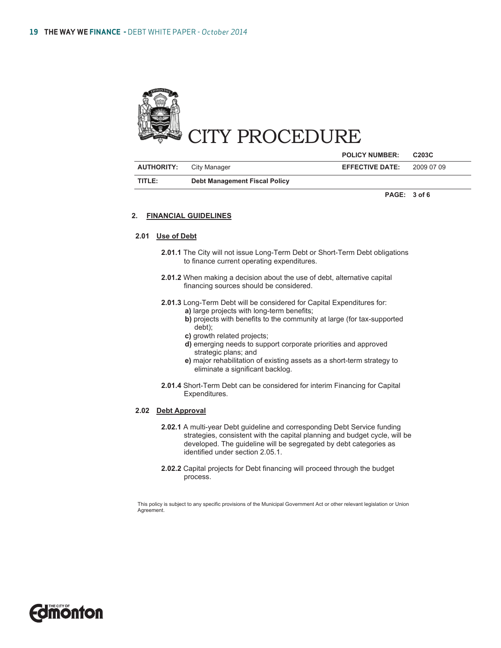

|                   |                                      | <b>POLICY NUMBER:</b>  | C <sub>203</sub> C |
|-------------------|--------------------------------------|------------------------|--------------------|
| <b>AUTHORITY:</b> | City Manager                         | <b>EFFECTIVE DATE:</b> | 2009 07 09         |
| TITLE:            | <b>Debt Management Fiscal Policy</b> |                        |                    |

**PAGE: 3 of 6** 

#### **2. FINANCIAL GUIDELINES**

# **2.01 Use of Debt**

- **2.01.1** The City will not issue Long-Term Debt or Short-Term Debt obligations to finance current operating expenditures.
- **2.01.2** When making a decision about the use of debt, alternative capital financing sources should be considered.
- **2.01.3** Long-Term Debt will be considered for Capital Expenditures for:
	- **a)** large projects with long-term benefits;
	- **b)** projects with benefits to the community at large (for tax-supported debt);
	- **c)** growth related projects;
	- **d)** emerging needs to support corporate priorities and approved strategic plans; and
	- **e)** major rehabilitation of existing assets as a short-term strategy to eliminate a significant backlog.
- **2.01.4** Short-Term Debt can be considered for interim Financing for Capital Expenditures.

# **2.02 Debt Approval**

- **2.02.1** A multi-year Debt guideline and corresponding Debt Service funding strategies, consistent with the capital planning and budget cycle, will be developed. The guideline will be segregated by debt categories as identified under section 2.05.1.
- **2.02.2** Capital projects for Debt financing will proceed through the budget process.

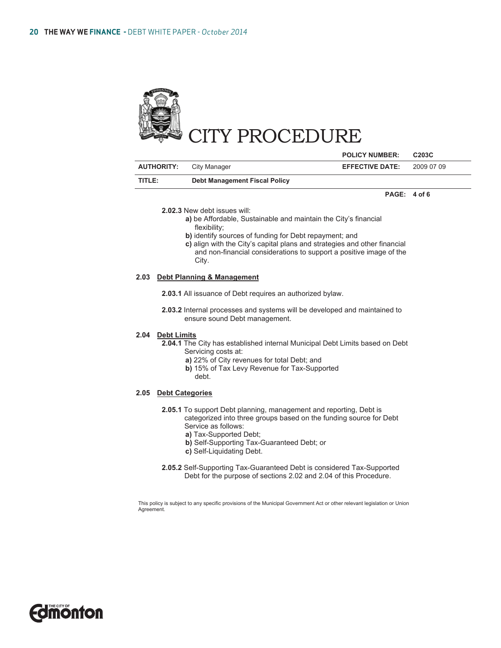

|                   |                                      | <b>POLICY NUMBER:</b>  | C <sub>203</sub> C |
|-------------------|--------------------------------------|------------------------|--------------------|
| <b>AUTHORITY:</b> | City Manager                         | <b>EFFECTIVE DATE:</b> | 2009 07 09         |
| TITLE:            | <b>Debt Management Fiscal Policy</b> |                        |                    |
|                   |                                      |                        | <b>PART 1 10</b>   |

**PAGE: 4 of 6** 

- **2.02.3** New debt issues will:
	- **a)** be Affordable, Sustainable and maintain the City's financial flexibility;
	- **b)** identify sources of funding for Debt repayment; and
	- **c)** align with the City's capital plans and strategies and other financial and non-financial considerations to support a positive image of the City.

### **2.03 Debt Planning & Management**

**2.03.1** All issuance of Debt requires an authorized bylaw.

**2.03.2** Internal processes and systems will be developed and maintained to ensure sound Debt management.

# **2.04 Debt Limits**

- **2.04.1** The City has established internal Municipal Debt Limits based on Debt Servicing costs at:
	- **a)** 22% of City revenues for total Debt; and
	- **b)** 15% of Tax Levy Revenue for Tax-Supported
	- debt.

### **2.05 Debt Categories**

- **2.05.1** To support Debt planning, management and reporting, Debt is categorized into three groups based on the funding source for Debt Service as follows:
	- **a)** Tax-Supported Debt;
	- **b)** Self-Supporting Tax-Guaranteed Debt; or
	- **c)** Self-Liquidating Debt.
- **2.05.2** Self-Supporting Tax-Guaranteed Debt is considered Tax-Supported Debt for the purpose of sections 2.02 and 2.04 of this Procedure.

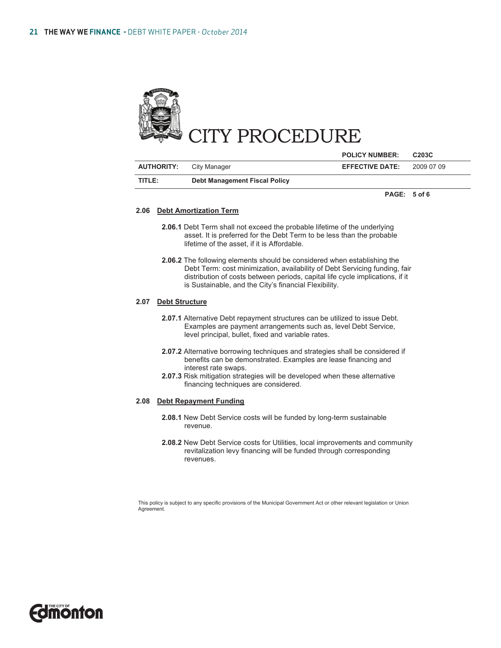

|                                                | <b>POLICY NUMBER:</b>  | C <sub>203</sub> C |
|------------------------------------------------|------------------------|--------------------|
| <b>AUTHORITY:</b><br>City Manager              | <b>EFFECTIVE DATE:</b> | 2009 07 09         |
| TITLE:<br><b>Debt Management Fiscal Policy</b> |                        |                    |

**PAGE: 5 of 6** 

#### **2.06 Debt Amortization Term**

- **2.06.1** Debt Term shall not exceed the probable lifetime of the underlying asset. It is preferred for the Debt Term to be less than the probable lifetime of the asset, if it is Affordable.
- **2.06.2** The following elements should be considered when establishing the Debt Term: cost minimization, availability of Debt Servicing funding, fair distribution of costs between periods, capital life cycle implications, if it is Sustainable, and the City's financial Flexibility.

# **2.07 Debt Structure**

- **2.07.1** Alternative Debt repayment structures can be utilized to issue Debt. Examples are payment arrangements such as, level Debt Service, level principal, bullet, fixed and variable rates.
- **2.07.2** Alternative borrowing techniques and strategies shall be considered if benefits can be demonstrated. Examples are lease financing and interest rate swaps.
- **2.07.3** Risk mitigation strategies will be developed when these alternative financing techniques are considered.

# **2.08 Debt Repayment Funding**

- **2.08.1** New Debt Service costs will be funded by long-term sustainable revenue.
- **2.08.2** New Debt Service costs for Utilities, local improvements and community revitalization levy financing will be funded through corresponding revenues.